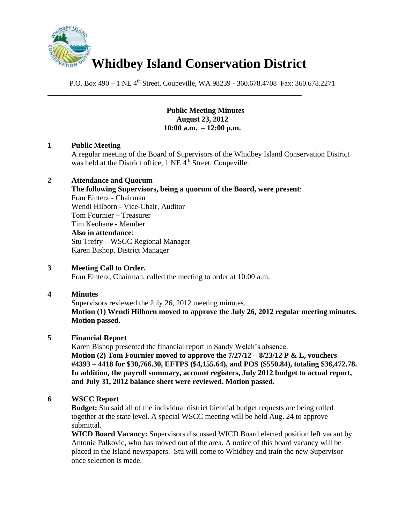

\_\_\_\_\_\_\_\_\_\_\_\_\_\_\_\_\_\_\_\_\_\_\_\_\_\_\_\_\_\_\_\_\_\_\_\_\_\_\_\_\_\_\_\_\_\_\_\_\_\_\_\_\_\_\_\_\_\_\_\_\_\_\_\_

P.O. Box 490 – 1 NE 4<sup>th</sup> Street, Coupeville, WA 98239 - 360.678.4708 Fax: 360.678.2271

#### **Public Meeting Minutes August 23, 2012 10:00 a.m. – 12:00 p.m.**

#### **1 Public Meeting**

A regular meeting of the Board of Supervisors of the Whidbey Island Conservation District was held at the District office,  $1$  NE  $\tilde{4}^{th}$  Street, Coupeville.

#### **2 Attendance and Quorum**

**The following Supervisors, being a quorum of the Board, were present**: Fran Einterz - Chairman Wendi Hilborn - Vice-Chair, Auditor Tom Fournier – Treasurer Tim Keohane - Member **Also in attendance**: Stu Trefry – WSCC Regional Manager Karen Bishop, District Manager

#### **3 Meeting Call to Order.**

Fran Einterz, Chairman, called the meeting to order at 10:00 a.m.

# **4 Minutes**

Supervisors reviewed the July 26, 2012 meeting minutes. **Motion (1) Wendi Hilborn moved to approve the July 26, 2012 regular meeting minutes. Motion passed.**

#### **5 Financial Report**

Karen Bishop presented the financial report in Sandy Welch's absence. **Motion (2) Tom Fournier moved to approve the 7/27/12 – 8/23/12 P & L, vouchers #4393 – 4418 for \$30,766.30, EFTPS (\$4,155.64), and POS (\$550.84), totaling \$36,472.78. In addition, the payroll summary, account registers, July 2012 budget to actual report, and July 31, 2012 balance sheet were reviewed. Motion passed.**

#### **6 WSCC Report**

**Budget:** Stu said all of the individual district biennial budget requests are being rolled together at the state level. A special WSCC meeting will be held Aug. 24 to approve submittal.

**WICD Board Vacancy:** Supervisors discussed WICD Board elected position left vacant by Antonia Palkovic, who has moved out of the area. A notice of this board vacancy will be placed in the Island newspapers. Stu will come to Whidbey and train the new Supervisor once selection is made.